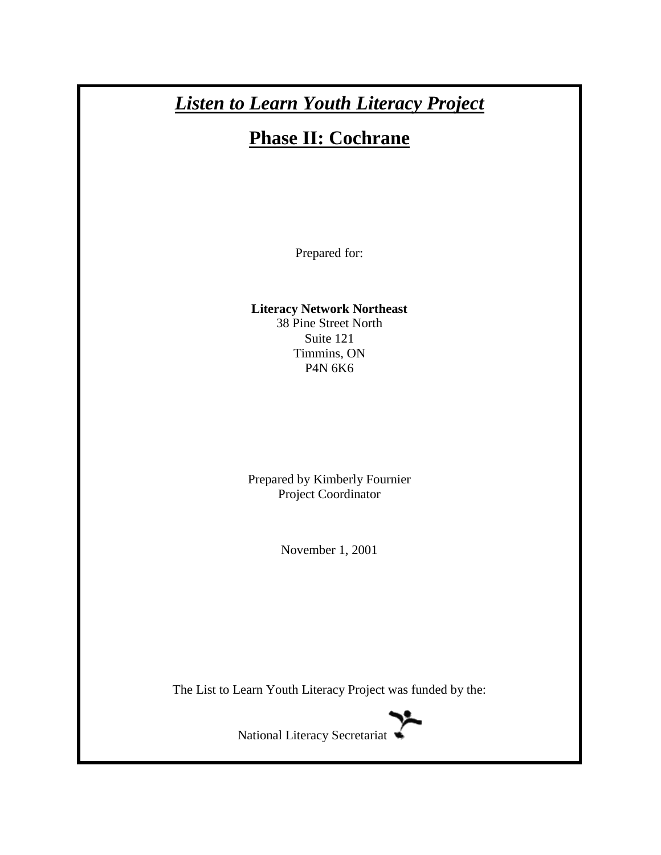# *Listen to Learn Youth Literacy Project*

# **Phase II: Cochrane**

Prepared for:

**Literacy Network Northeast** 38 Pine Street North Suite 121 Timmins, ON P4N 6K6

Prepared by Kimberly Fournier Project Coordinator

November 1, 2001

The List to Learn Youth Literacy Project was funded by the:



National Literacy Secretariat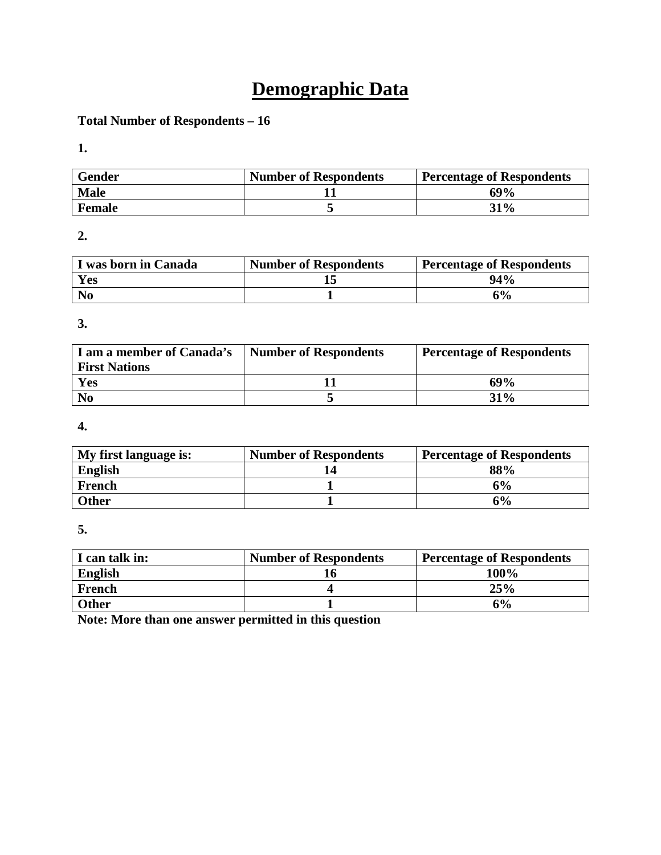# **Demographic Data**

## **Total Number of Respondents – 16**

**1.** 

| <b>Gender</b> | <b>Number of Respondents</b> | <b>Percentage of Respondents</b> |
|---------------|------------------------------|----------------------------------|
| <b>Male</b>   |                              | 69%                              |
| Female        |                              | 31%                              |

**2.** 

| I was born in Canada | <b>Number of Respondents</b> | <b>Percentage of Respondents</b> |
|----------------------|------------------------------|----------------------------------|
| Yes                  |                              | 94%                              |
| N <sub>0</sub>       |                              | 6%                               |

**3.** 

| I am a member of Canada's<br><b>First Nations</b> | <b>Number of Respondents</b> | <b>Percentage of Respondents</b> |
|---------------------------------------------------|------------------------------|----------------------------------|
| Yes                                               |                              | 69%                              |
| N <sub>0</sub>                                    |                              | $31\%$                           |

**4.** 

| My first language is: | <b>Number of Respondents</b> | <b>Percentage of Respondents</b> |
|-----------------------|------------------------------|----------------------------------|
| <b>English</b>        |                              | 88%                              |
| French                |                              | 6%                               |
| <b>Other</b>          |                              | 6%                               |

**5.** 

| I can talk in: | <b>Number of Respondents</b> | <b>Percentage of Respondents</b> |
|----------------|------------------------------|----------------------------------|
| <b>English</b> |                              | 100%                             |
| French         |                              | 25%                              |
| <b>Other</b>   |                              | 6%                               |

**Note: More than one answer permitted in this question**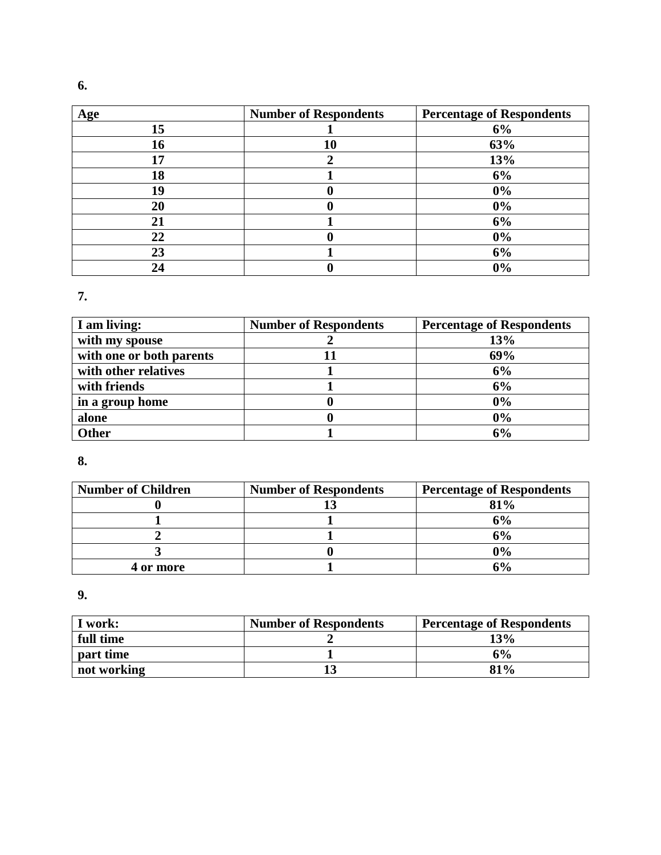| Age | <b>Number of Respondents</b> | <b>Percentage of Respondents</b> |
|-----|------------------------------|----------------------------------|
| 15  |                              | 6%                               |
| 16  | 10                           | 63%                              |
| 17  |                              | 13%                              |
| 18  |                              | 6%                               |
| 19  |                              | $0\%$                            |
| 20  |                              | 0%                               |
| 21  |                              | 6%                               |
| 22  |                              | $0\%$                            |
| 23  |                              | 6%                               |
| 24  |                              | 0%                               |

**7.** 

| I am living:             | <b>Number of Respondents</b> | <b>Percentage of Respondents</b> |
|--------------------------|------------------------------|----------------------------------|
| with my spouse           |                              | 13%                              |
| with one or both parents |                              | 69%                              |
| with other relatives     |                              | 6%                               |
| with friends             |                              | 6%                               |
| in a group home          |                              | 0%                               |
| alone                    |                              | 0%                               |
| <b>Other</b>             |                              | 6%                               |

# **8.**

| <b>Number of Children</b> | <b>Number of Respondents</b> | <b>Percentage of Respondents</b> |
|---------------------------|------------------------------|----------------------------------|
|                           |                              | 81%                              |
|                           |                              | 6%                               |
|                           |                              | 6%                               |
|                           |                              | 0%                               |
| 4 or more                 |                              | ና%                               |

**9.** 

| I work:     | <b>Number of Respondents</b> | <b>Percentage of Respondents</b> |
|-------------|------------------------------|----------------------------------|
| full time   |                              | 13%                              |
| part time   |                              | 6%                               |
| not working |                              | 81%                              |

**6.**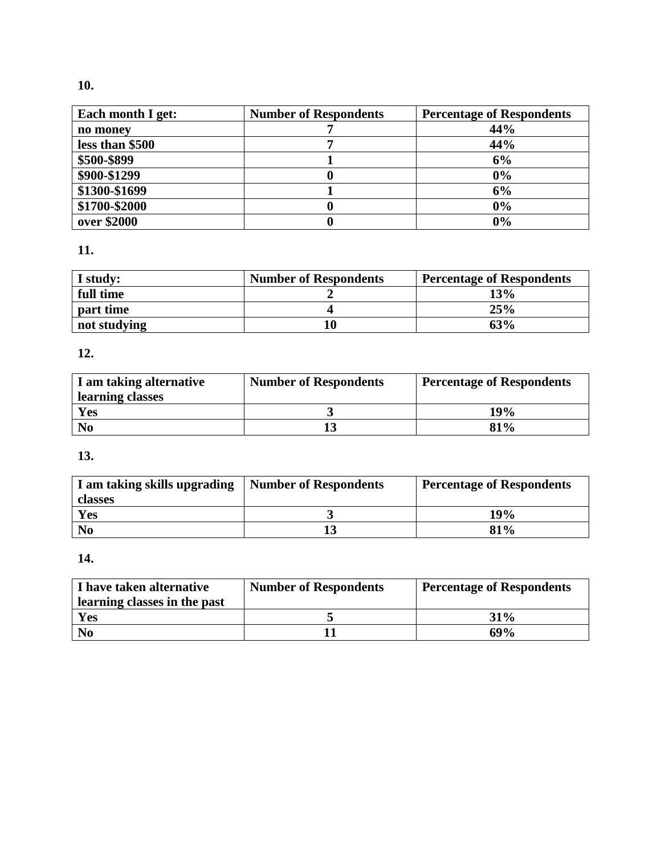# **10.**

| Each month I get: | <b>Number of Respondents</b> | <b>Percentage of Respondents</b> |
|-------------------|------------------------------|----------------------------------|
| no money          |                              | 44%                              |
| less than \$500   |                              | 44%                              |
| \$500-\$899       |                              | 6%                               |
| \$900-\$1299      |                              | 0%                               |
| \$1300-\$1699     |                              | 6%                               |
| \$1700-\$2000     |                              | 0%                               |
| over \$2000       |                              | 0%                               |

# **11.**

| I study:     | <b>Number of Respondents</b> | <b>Percentage of Respondents</b> |
|--------------|------------------------------|----------------------------------|
| full time    |                              | 13%                              |
| part time    |                              | 25%                              |
| not studying |                              | 63%                              |

# **12.**

| I am taking alternative | <b>Number of Respondents</b> | <b>Percentage of Respondents</b> |
|-------------------------|------------------------------|----------------------------------|
| learning classes        |                              |                                  |
| <b>Yes</b>              |                              | 19%                              |
| N <sub>0</sub>          |                              | 81%                              |

# **13.**

| I am taking skills upgrading | <b>Number of Respondents</b> | <b>Percentage of Respondents</b> |
|------------------------------|------------------------------|----------------------------------|
| classes                      |                              |                                  |
| Yes                          |                              | 19%                              |
| N <sub>0</sub>               |                              | $81\%$                           |

# **14.**

| I have taken alternative<br>learning classes in the past | <b>Number of Respondents</b> | <b>Percentage of Respondents</b> |
|----------------------------------------------------------|------------------------------|----------------------------------|
| Yes                                                      |                              | 31%                              |
| N <sub>0</sub>                                           |                              | 69%                              |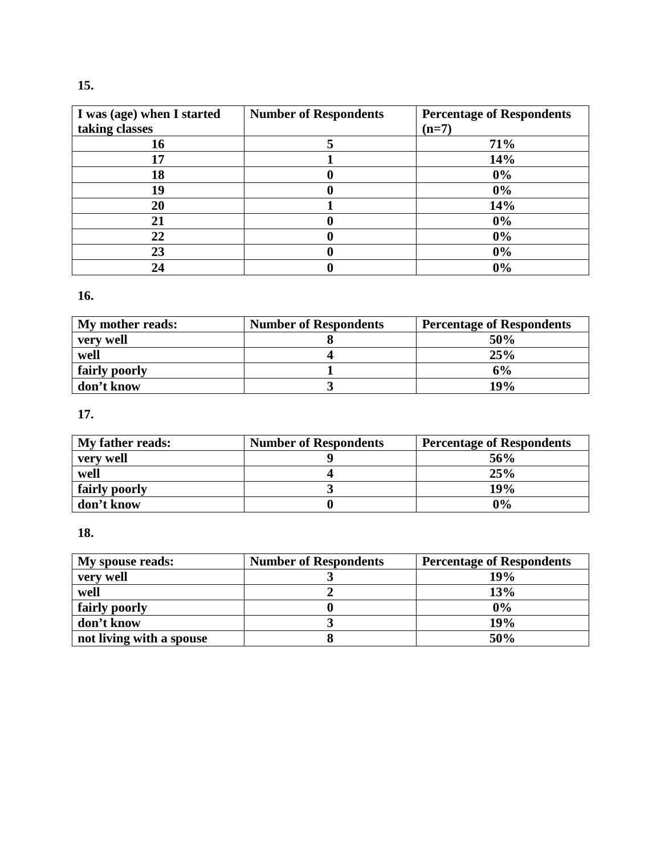| I was (age) when I started | <b>Number of Respondents</b> | <b>Percentage of Respondents</b> |
|----------------------------|------------------------------|----------------------------------|
| taking classes             |                              | $(n=7)$                          |
| 16                         |                              | 71%                              |
| 17                         |                              | 14%                              |
| 18                         |                              | 0%                               |
| 19                         |                              | 0%                               |
| 20                         |                              | 14%                              |
| 21                         |                              | 0%                               |
| 22                         |                              | 0%                               |
| 23                         |                              | 0%                               |
| 24                         |                              | 0%                               |

# **16.**

| My mother reads: | <b>Number of Respondents</b> | <b>Percentage of Respondents</b> |
|------------------|------------------------------|----------------------------------|
| very well        |                              | 50%                              |
| well             |                              | 25%                              |
| fairly poorly    |                              | 6%                               |
| don't know       |                              | 19%                              |

# **17.**

| My father reads: | <b>Number of Respondents</b> | <b>Percentage of Respondents</b> |
|------------------|------------------------------|----------------------------------|
| very well        |                              | 56%                              |
| well             |                              | 25%                              |
| fairly poorly    |                              | 19%                              |
| don't know       |                              | $0\%$                            |

# **18.**

| <b>My spouse reads:</b>  | <b>Number of Respondents</b> | <b>Percentage of Respondents</b> |
|--------------------------|------------------------------|----------------------------------|
| very well                |                              | 19%                              |
| well                     |                              | 13%                              |
| fairly poorly            |                              | 0%                               |
| don't know               |                              | 19%                              |
| not living with a spouse |                              | 50%                              |

# **15.**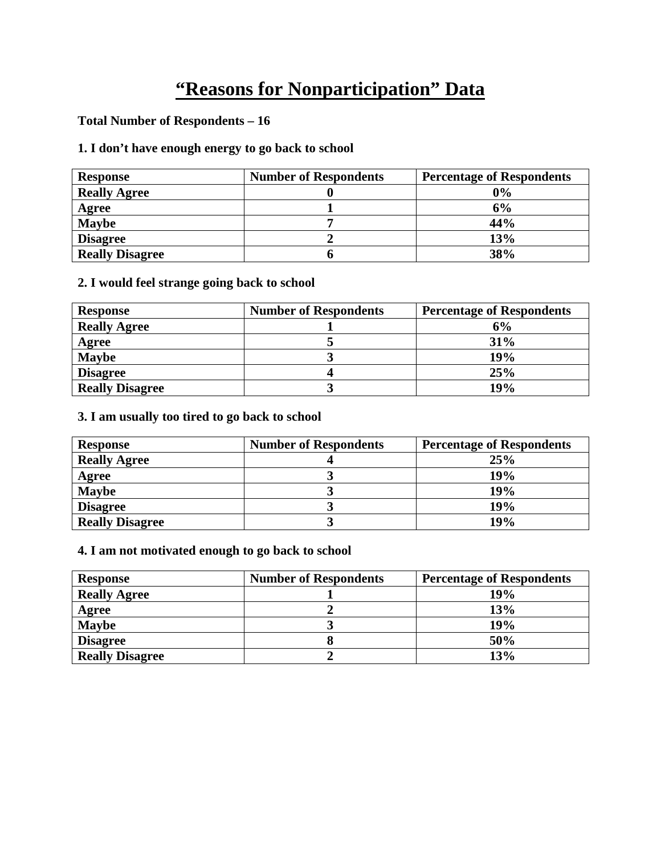# **"Reasons for Nonparticipation" Data**

## **Total Number of Respondents – 16**

# **1. I don't have enough energy to go back to school**

| <b>Response</b>        | <b>Number of Respondents</b> | <b>Percentage of Respondents</b> |
|------------------------|------------------------------|----------------------------------|
| <b>Really Agree</b>    |                              | 0%                               |
| Agree                  |                              | 6%                               |
| <b>Maybe</b>           |                              | 44%                              |
| <b>Disagree</b>        |                              | 13%                              |
| <b>Really Disagree</b> |                              | 38%                              |

## **2. I would feel strange going back to school**

| <b>Response</b>        | <b>Number of Respondents</b> | <b>Percentage of Respondents</b> |
|------------------------|------------------------------|----------------------------------|
| <b>Really Agree</b>    |                              | 6%                               |
| Agree                  |                              | 31%                              |
| <b>Maybe</b>           |                              | 19%                              |
| <b>Disagree</b>        |                              | 25%                              |
| <b>Really Disagree</b> |                              | 19%                              |

#### **3. I am usually too tired to go back to school**

| <b>Response</b>        | <b>Number of Respondents</b> | <b>Percentage of Respondents</b> |
|------------------------|------------------------------|----------------------------------|
| <b>Really Agree</b>    |                              | 25%                              |
| Agree                  |                              | 19%                              |
| <b>Maybe</b>           |                              | 19%                              |
| <b>Disagree</b>        |                              | 19%                              |
| <b>Really Disagree</b> |                              | 19%                              |

## **4. I am not motivated enough to go back to school**

| <b>Response</b>        | <b>Number of Respondents</b> | <b>Percentage of Respondents</b> |
|------------------------|------------------------------|----------------------------------|
| <b>Really Agree</b>    |                              | 19%                              |
| Agree                  |                              | 13%                              |
| <b>Maybe</b>           |                              | 19%                              |
| <b>Disagree</b>        |                              | 50%                              |
| <b>Really Disagree</b> |                              | 13%                              |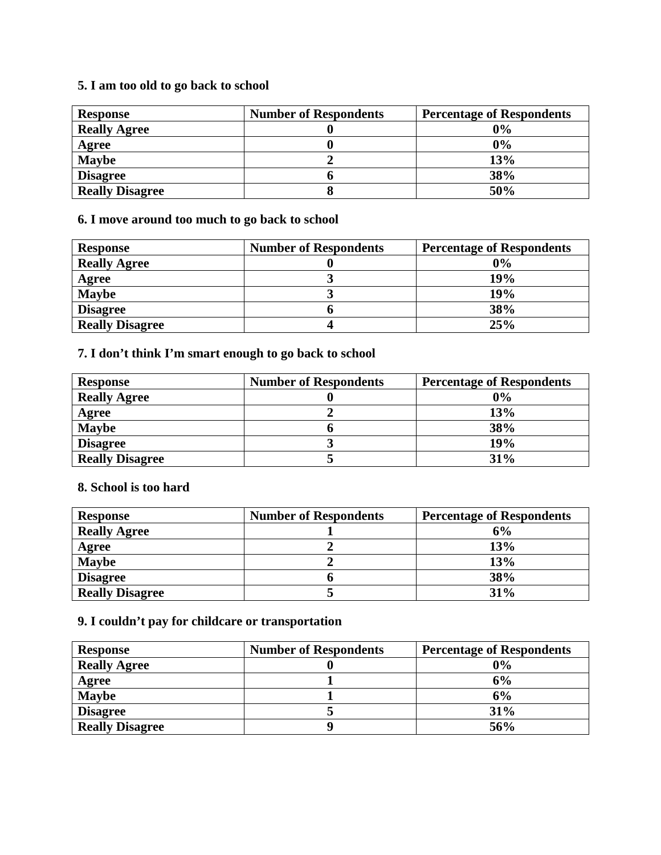# **5. I am too old to go back to school**

| <b>Response</b>        | <b>Number of Respondents</b> | <b>Percentage of Respondents</b> |
|------------------------|------------------------------|----------------------------------|
| <b>Really Agree</b>    |                              | 0%                               |
| Agree                  |                              | 0%                               |
| <b>Maybe</b>           |                              | 13%                              |
| <b>Disagree</b>        |                              | 38%                              |
| <b>Really Disagree</b> |                              | 50%                              |

## **6. I move around too much to go back to school**

| <b>Response</b>        | <b>Number of Respondents</b> | <b>Percentage of Respondents</b> |
|------------------------|------------------------------|----------------------------------|
| <b>Really Agree</b>    |                              | $0\%$                            |
| Agree                  |                              | 19%                              |
| <b>Maybe</b>           |                              | 19%                              |
| <b>Disagree</b>        |                              | 38%                              |
| <b>Really Disagree</b> |                              | 25%                              |

## **7. I don't think I'm smart enough to go back to school**

| <b>Response</b>        | <b>Number of Respondents</b> | <b>Percentage of Respondents</b> |
|------------------------|------------------------------|----------------------------------|
| <b>Really Agree</b>    |                              | 0%                               |
| Agree                  |                              | 13%                              |
| <b>Maybe</b>           |                              | 38%                              |
| <b>Disagree</b>        |                              | 19%                              |
| <b>Really Disagree</b> |                              | 31%                              |

#### **8. School is too hard**

| <b>Response</b>        | <b>Number of Respondents</b> | <b>Percentage of Respondents</b> |
|------------------------|------------------------------|----------------------------------|
| <b>Really Agree</b>    |                              | 6%                               |
| Agree                  |                              | 13%                              |
| <b>Maybe</b>           |                              | 13%                              |
| <b>Disagree</b>        |                              | 38%                              |
| <b>Really Disagree</b> |                              | 31%                              |

# **9. I couldn't pay for childcare or transportation**

| <b>Response</b>        | <b>Number of Respondents</b> | <b>Percentage of Respondents</b> |
|------------------------|------------------------------|----------------------------------|
| <b>Really Agree</b>    |                              | 0%                               |
| Agree                  |                              | 6%                               |
| <b>Maybe</b>           |                              | 6%                               |
| <b>Disagree</b>        |                              | 31%                              |
| <b>Really Disagree</b> |                              | 56%                              |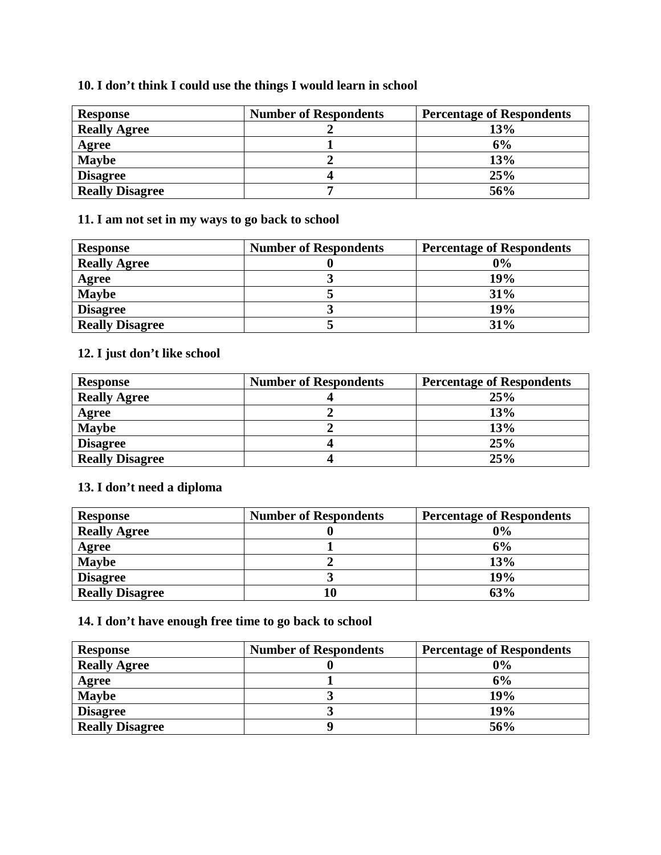## **10. I don't think I could use the things I would learn in school**

| <b>Response</b>        | <b>Number of Respondents</b> | <b>Percentage of Respondents</b> |
|------------------------|------------------------------|----------------------------------|
| <b>Really Agree</b>    |                              | 13%                              |
| Agree                  |                              | 6%                               |
| <b>Maybe</b>           |                              | 13%                              |
| <b>Disagree</b>        |                              | 25%                              |
| <b>Really Disagree</b> |                              | 56%                              |

## **11. I am not set in my ways to go back to school**

| <b>Response</b>        | <b>Number of Respondents</b> | <b>Percentage of Respondents</b> |
|------------------------|------------------------------|----------------------------------|
| <b>Really Agree</b>    |                              | 0%                               |
| Agree                  |                              | 19%                              |
| <b>Maybe</b>           |                              | 31%                              |
| <b>Disagree</b>        |                              | 19%                              |
| <b>Really Disagree</b> |                              | 31%                              |

# **12. I just don't like school**

| <b>Response</b>        | <b>Number of Respondents</b> | <b>Percentage of Respondents</b> |
|------------------------|------------------------------|----------------------------------|
| <b>Really Agree</b>    |                              | 25%                              |
| Agree                  |                              | 13%                              |
| <b>Maybe</b>           |                              | 13%                              |
| <b>Disagree</b>        |                              | 25%                              |
| <b>Really Disagree</b> |                              | 25%                              |

## **13. I don't need a diploma**

| <b>Response</b>        | <b>Number of Respondents</b> | <b>Percentage of Respondents</b> |
|------------------------|------------------------------|----------------------------------|
| <b>Really Agree</b>    |                              | 0%                               |
| Agree                  |                              | 6%                               |
| <b>Maybe</b>           |                              | 13%                              |
| <b>Disagree</b>        |                              | 19%                              |
| <b>Really Disagree</b> |                              | 63%                              |

# **14. I don't have enough free time to go back to school**

| <b>Response</b>        | <b>Number of Respondents</b> | <b>Percentage of Respondents</b> |
|------------------------|------------------------------|----------------------------------|
| <b>Really Agree</b>    |                              | 0%                               |
| Agree                  |                              | 6%                               |
| <b>Maybe</b>           |                              | 19%                              |
| <b>Disagree</b>        |                              | 19%                              |
| <b>Really Disagree</b> |                              | 56%                              |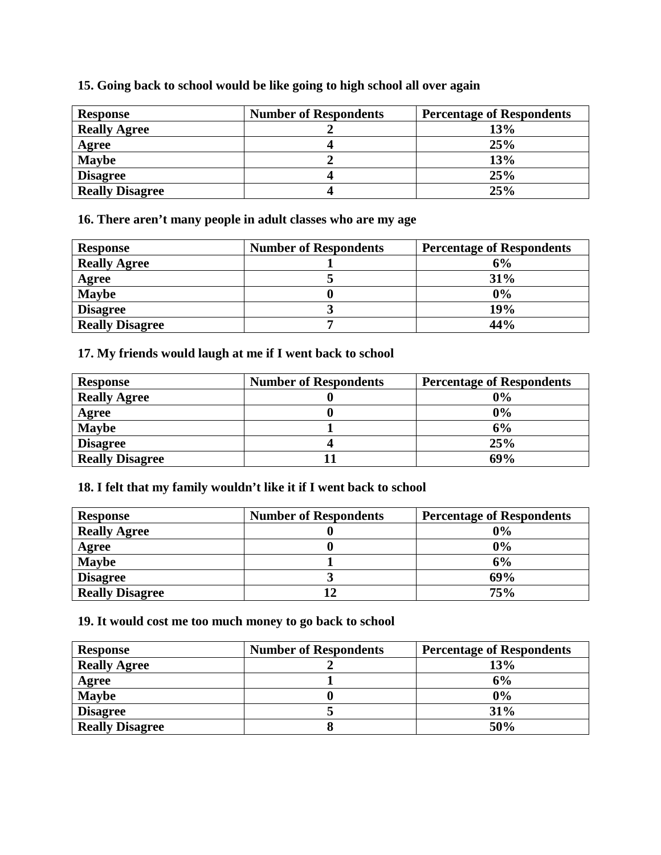| <b>Response</b>        | <b>Number of Respondents</b> | <b>Percentage of Respondents</b> |
|------------------------|------------------------------|----------------------------------|
| <b>Really Agree</b>    |                              | 13%                              |
| Agree                  |                              | 25%                              |
| <b>Maybe</b>           |                              | 13%                              |
| <b>Disagree</b>        |                              | 25%                              |
| <b>Really Disagree</b> |                              | 25%                              |

## **15. Going back to school would be like going to high school all over again**

**16. There aren't many people in adult classes who are my age** 

| <b>Response</b>        | <b>Number of Respondents</b> | <b>Percentage of Respondents</b> |
|------------------------|------------------------------|----------------------------------|
| <b>Really Agree</b>    |                              | 6%                               |
| Agree                  |                              | 31%                              |
| <b>Maybe</b>           |                              | 0%                               |
| <b>Disagree</b>        |                              | 19%                              |
| <b>Really Disagree</b> |                              | 44%                              |

## **17. My friends would laugh at me if I went back to school**

| <b>Response</b>        | <b>Number of Respondents</b> | <b>Percentage of Respondents</b> |
|------------------------|------------------------------|----------------------------------|
| <b>Really Agree</b>    |                              | $0\%$                            |
| <b>Agree</b>           |                              | 0%                               |
| <b>Maybe</b>           |                              | 6%                               |
| <b>Disagree</b>        |                              | 25%                              |
| <b>Really Disagree</b> |                              | 69%                              |

## **18. I felt that my family wouldn't like it if I went back to school**

| <b>Response</b>        | <b>Number of Respondents</b> | <b>Percentage of Respondents</b> |
|------------------------|------------------------------|----------------------------------|
| <b>Really Agree</b>    |                              | 0%                               |
| Agree                  |                              | 0%                               |
| <b>Maybe</b>           |                              | 6%                               |
| <b>Disagree</b>        |                              | 69%                              |
| <b>Really Disagree</b> |                              | 75%                              |

## **19. It would cost me too much money to go back to school**

| <b>Response</b>        | <b>Number of Respondents</b> | <b>Percentage of Respondents</b> |
|------------------------|------------------------------|----------------------------------|
| <b>Really Agree</b>    |                              | 13%                              |
| Agree                  |                              | 6%                               |
| <b>Maybe</b>           |                              | 0%                               |
| <b>Disagree</b>        |                              | 31%                              |
| <b>Really Disagree</b> |                              | 50%                              |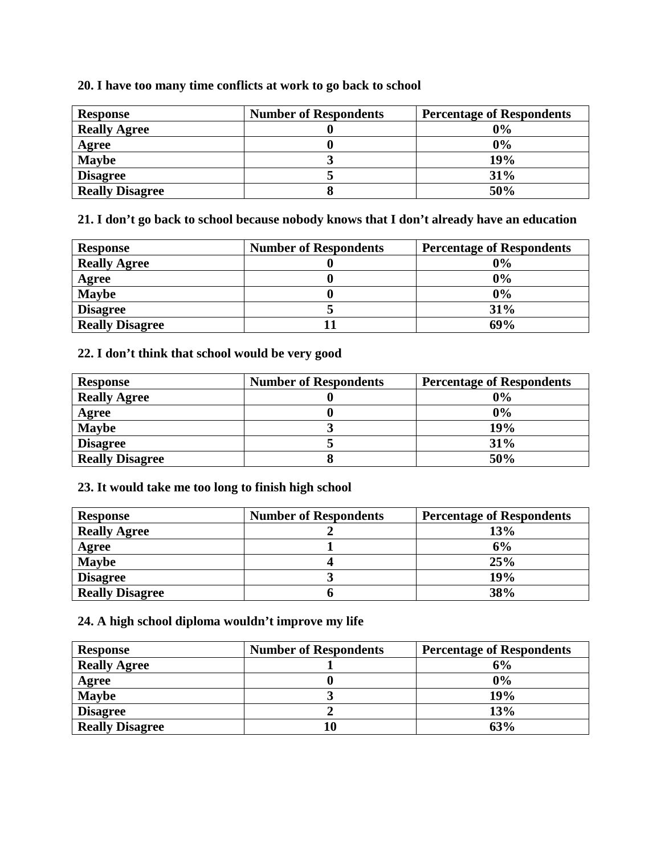## **20. I have too many time conflicts at work to go back to school**

| <b>Response</b>        | <b>Number of Respondents</b> | <b>Percentage of Respondents</b> |
|------------------------|------------------------------|----------------------------------|
| <b>Really Agree</b>    |                              | 0%                               |
| Agree                  |                              | 0%                               |
| <b>Maybe</b>           |                              | 19%                              |
| <b>Disagree</b>        |                              | 31%                              |
| <b>Really Disagree</b> |                              | 50%                              |

**21. I don't go back to school because nobody knows that I don't already have an education** 

| <b>Response</b>        | <b>Number of Respondents</b> | <b>Percentage of Respondents</b> |
|------------------------|------------------------------|----------------------------------|
| <b>Really Agree</b>    |                              | 0%                               |
| Agree                  |                              | 0%                               |
| <b>Maybe</b>           |                              | $0\%$                            |
| <b>Disagree</b>        |                              | 31%                              |
| <b>Really Disagree</b> |                              | 69%                              |

## **22. I don't think that school would be very good**

| <b>Response</b>        | <b>Number of Respondents</b> | <b>Percentage of Respondents</b> |
|------------------------|------------------------------|----------------------------------|
| <b>Really Agree</b>    |                              | 0%                               |
| Agree                  |                              | 0%                               |
| <b>Maybe</b>           |                              | 19%                              |
| <b>Disagree</b>        |                              | 31%                              |
| <b>Really Disagree</b> |                              | 50%                              |

### **23. It would take me too long to finish high school**

| <b>Response</b>        | <b>Number of Respondents</b> | <b>Percentage of Respondents</b> |
|------------------------|------------------------------|----------------------------------|
| <b>Really Agree</b>    |                              | 13%                              |
| Agree                  |                              | 6%                               |
| <b>Maybe</b>           |                              | 25%                              |
| <b>Disagree</b>        |                              | 19%                              |
| <b>Really Disagree</b> |                              | 38%                              |

## **24. A high school diploma wouldn't improve my life**

| <b>Response</b>        | <b>Number of Respondents</b> | <b>Percentage of Respondents</b> |
|------------------------|------------------------------|----------------------------------|
| <b>Really Agree</b>    |                              | 6%                               |
| Agree                  |                              | 0%                               |
| <b>Maybe</b>           |                              | 19%                              |
| <b>Disagree</b>        |                              | 13%                              |
| <b>Really Disagree</b> |                              | 63%                              |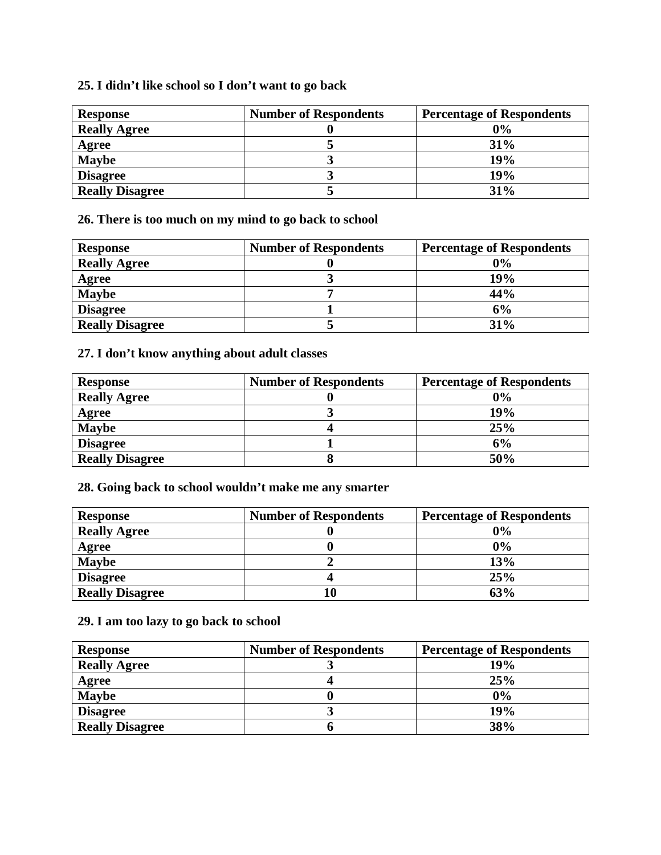## **25. I didn't like school so I don't want to go back**

| <b>Response</b>        | <b>Number of Respondents</b> | <b>Percentage of Respondents</b> |
|------------------------|------------------------------|----------------------------------|
| <b>Really Agree</b>    |                              | 0%                               |
| Agree                  |                              | 31%                              |
| <b>Maybe</b>           |                              | 19%                              |
| <b>Disagree</b>        |                              | 19%                              |
| <b>Really Disagree</b> |                              | 31%                              |

**26. There is too much on my mind to go back to school** 

| <b>Response</b>        | <b>Number of Respondents</b> | <b>Percentage of Respondents</b> |
|------------------------|------------------------------|----------------------------------|
| <b>Really Agree</b>    |                              | 0%                               |
| Agree                  |                              | 19%                              |
| <b>Maybe</b>           |                              | 44%                              |
| <b>Disagree</b>        |                              | 6%                               |
| <b>Really Disagree</b> |                              | 31%                              |

# **27. I don't know anything about adult classes**

| <b>Response</b>        | <b>Number of Respondents</b> | <b>Percentage of Respondents</b> |
|------------------------|------------------------------|----------------------------------|
| <b>Really Agree</b>    |                              | 0%                               |
| Agree                  |                              | 19%                              |
| <b>Maybe</b>           |                              | 25%                              |
| <b>Disagree</b>        |                              | 6%                               |
| <b>Really Disagree</b> |                              | 50%                              |

**28. Going back to school wouldn't make me any smarter** 

| <b>Response</b>        | <b>Number of Respondents</b> | <b>Percentage of Respondents</b> |
|------------------------|------------------------------|----------------------------------|
| <b>Really Agree</b>    |                              | 0%                               |
| Agree                  |                              | 0%                               |
| <b>Maybe</b>           |                              | 13%                              |
| <b>Disagree</b>        |                              | 25%                              |
| <b>Really Disagree</b> |                              | 63%                              |

**29. I am too lazy to go back to school** 

| <b>Response</b>        | <b>Number of Respondents</b> | <b>Percentage of Respondents</b> |
|------------------------|------------------------------|----------------------------------|
| <b>Really Agree</b>    |                              | 19%                              |
| Agree                  |                              | 25%                              |
| <b>Maybe</b>           |                              | 0%                               |
| <b>Disagree</b>        |                              | 19%                              |
| <b>Really Disagree</b> |                              | 38%                              |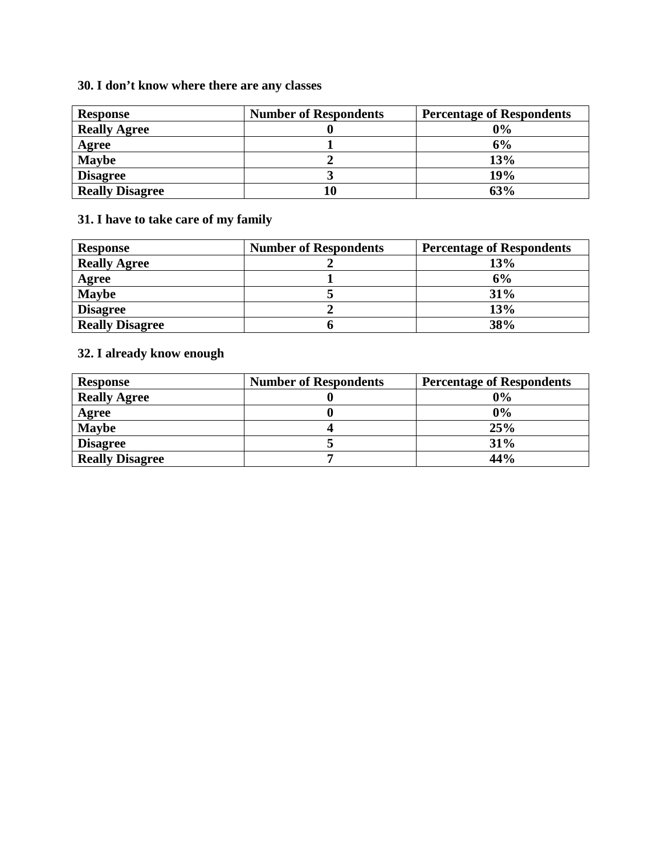# **30. I don't know where there are any classes**

| <b>Response</b>        | <b>Number of Respondents</b> | <b>Percentage of Respondents</b> |
|------------------------|------------------------------|----------------------------------|
| <b>Really Agree</b>    |                              | 0%                               |
| Agree                  |                              | 6%                               |
| <b>Maybe</b>           |                              | 13%                              |
| <b>Disagree</b>        |                              | 19%                              |
| <b>Really Disagree</b> |                              | 63%                              |

# **31. I have to take care of my family**

| <b>Response</b>        | <b>Number of Respondents</b> | <b>Percentage of Respondents</b> |
|------------------------|------------------------------|----------------------------------|
| <b>Really Agree</b>    |                              | 13%                              |
| Agree                  |                              | 6%                               |
| <b>Maybe</b>           |                              | 31%                              |
| <b>Disagree</b>        |                              | 13%                              |
| <b>Really Disagree</b> |                              | 38%                              |

# **32. I already know enough**

| <b>Response</b>        | <b>Number of Respondents</b> | <b>Percentage of Respondents</b> |
|------------------------|------------------------------|----------------------------------|
| <b>Really Agree</b>    |                              | 0%                               |
| Agree                  |                              | 0%                               |
| <b>Maybe</b>           |                              | 25%                              |
| <b>Disagree</b>        |                              | 31%                              |
| <b>Really Disagree</b> |                              | 44%                              |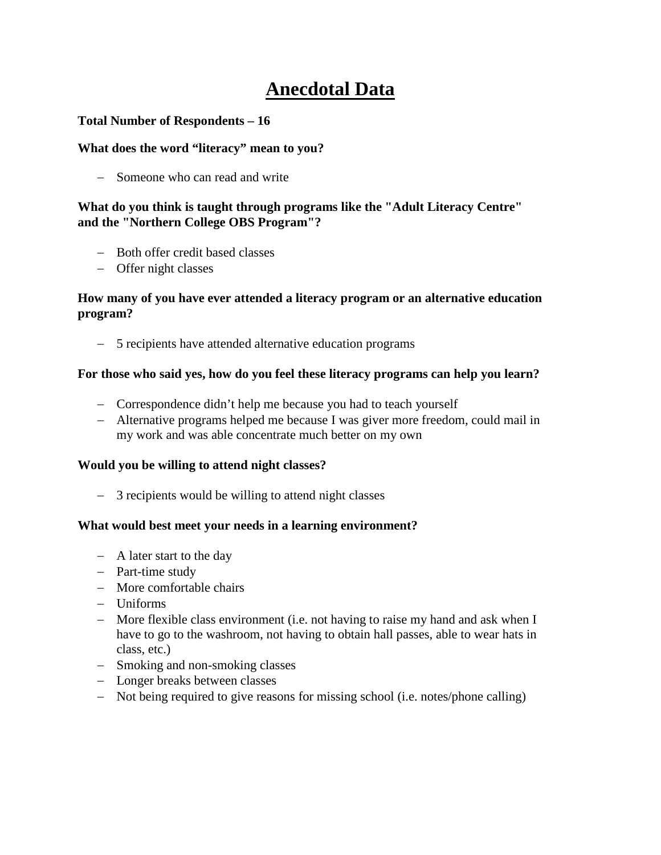# **Anecdotal Data**

#### **Total Number of Respondents – 16**

#### **What does the word "literacy" mean to you?**

− Someone who can read and write

### **What do you think is taught through programs like the "Adult Literacy Centre" and the "Northern College OBS Program"?**

- − Both offer credit based classes
- − Offer night classes

#### **How many of you have ever attended a literacy program or an alternative education program?**

− 5 recipients have attended alternative education programs

#### **For those who said yes, how do you feel these literacy programs can help you learn?**

- − Correspondence didn't help me because you had to teach yourself
- − Alternative programs helped me because I was giver more freedom, could mail in my work and was able concentrate much better on my own

#### **Would you be willing to attend night classes?**

− 3 recipients would be willing to attend night classes

#### **What would best meet your needs in a learning environment?**

- − A later start to the day
- − Part-time study
- − More comfortable chairs
- − Uniforms
- − More flexible class environment (i.e. not having to raise my hand and ask when I have to go to the washroom, not having to obtain hall passes, able to wear hats in class, etc.)
- − Smoking and non-smoking classes
- − Longer breaks between classes
- − Not being required to give reasons for missing school (i.e. notes/phone calling)